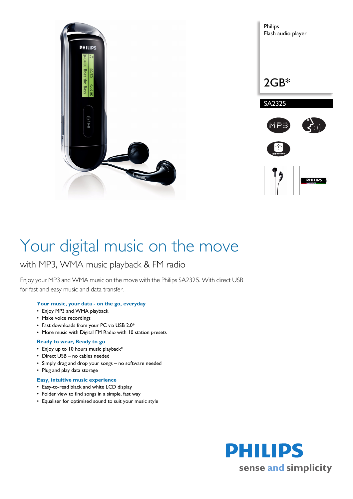



# Your digital music on the move

# with MP3, WMA music playback & FM radio

Enjoy your MP3 and WMA music on the move with the Philips SA2325. With direct USB for fast and easy music and data transfer.

# **Your music, your data - on the go, everyday**

- Enjoy MP3 and WMA playback
- Make voice recordings
- Fast downloads from your PC via USB 2.0\*
- More music with Digital FM Radio with 10 station presets

# **Ready to wear, Ready to go**

- Enjoy up to 10 hours music playback\*
- Direct USB no cables needed
- Simply drag and drop your songs no software needed
- Plug and play data storage

# **Easy, intuitive music experience**

- Easy-to-read black and white LCD display
- Folder view to find songs in a simple, fast way
- Equaliser for optimised sound to suit your music style